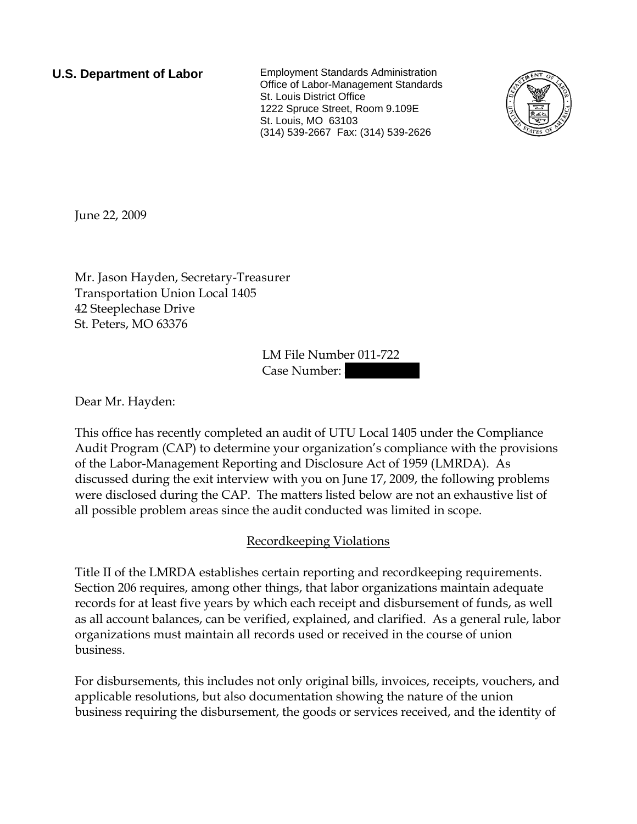**U.S. Department of Labor** Employment Standards Administration Office of Labor-Management Standards St. Louis District Office 1222 Spruce Street, Room 9.109E St. Louis, MO 63103 (314) 539-2667 Fax: (314) 539-2626



June 22, 2009

Mr. Jason Hayden, Secretary-Treasurer Transportation Union Local 1405 42 Steeplechase Drive St. Peters, MO 63376

> LM File Number 011-722 Case Number:

Dear Mr. Hayden:

This office has recently completed an audit of UTU Local 1405 under the Compliance Audit Program (CAP) to determine your organization's compliance with the provisions of the Labor-Management Reporting and Disclosure Act of 1959 (LMRDA). As discussed during the exit interview with you on June 17, 2009, the following problems were disclosed during the CAP. The matters listed below are not an exhaustive list of all possible problem areas since the audit conducted was limited in scope.

## Recordkeeping Violations

Title II of the LMRDA establishes certain reporting and recordkeeping requirements. Section 206 requires, among other things, that labor organizations maintain adequate records for at least five years by which each receipt and disbursement of funds, as well as all account balances, can be verified, explained, and clarified. As a general rule, labor organizations must maintain all records used or received in the course of union business.

For disbursements, this includes not only original bills, invoices, receipts, vouchers, and applicable resolutions, but also documentation showing the nature of the union business requiring the disbursement, the goods or services received, and the identity of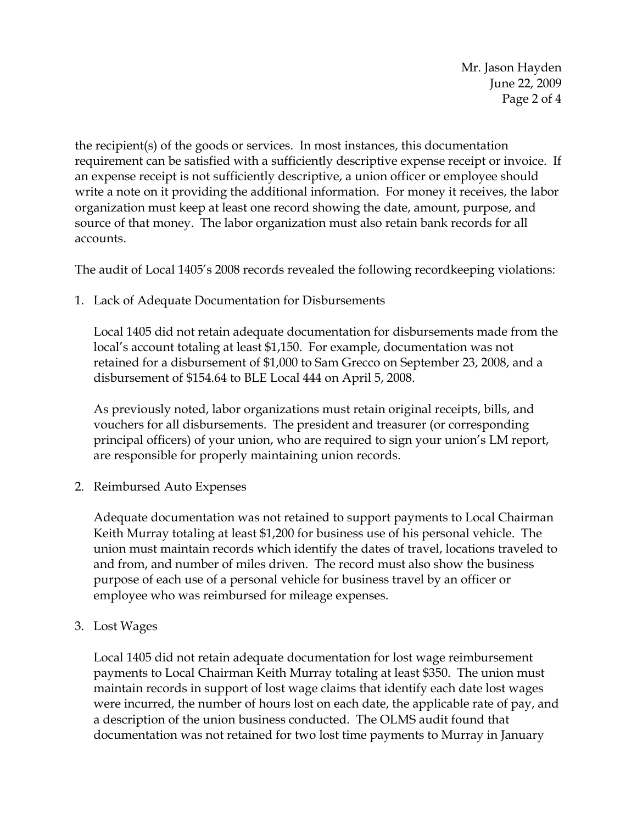Mr. Jason Hayden June 22, 2009 Page 2 of 4

the recipient(s) of the goods or services. In most instances, this documentation requirement can be satisfied with a sufficiently descriptive expense receipt or invoice. If an expense receipt is not sufficiently descriptive, a union officer or employee should write a note on it providing the additional information. For money it receives, the labor organization must keep at least one record showing the date, amount, purpose, and source of that money. The labor organization must also retain bank records for all accounts.

The audit of Local 1405's 2008 records revealed the following recordkeeping violations:

1. Lack of Adequate Documentation for Disbursements

Local 1405 did not retain adequate documentation for disbursements made from the local's account totaling at least \$1,150. For example, documentation was not retained for a disbursement of \$1,000 to Sam Grecco on September 23, 2008, and a disbursement of \$154.64 to BLE Local 444 on April 5, 2008.

As previously noted, labor organizations must retain original receipts, bills, and vouchers for all disbursements. The president and treasurer (or corresponding principal officers) of your union, who are required to sign your union's LM report, are responsible for properly maintaining union records.

2. Reimbursed Auto Expenses

Adequate documentation was not retained to support payments to Local Chairman Keith Murray totaling at least \$1,200 for business use of his personal vehicle. The union must maintain records which identify the dates of travel, locations traveled to and from, and number of miles driven. The record must also show the business purpose of each use of a personal vehicle for business travel by an officer or employee who was reimbursed for mileage expenses.

3. Lost Wages

Local 1405 did not retain adequate documentation for lost wage reimbursement payments to Local Chairman Keith Murray totaling at least \$350. The union must maintain records in support of lost wage claims that identify each date lost wages were incurred, the number of hours lost on each date, the applicable rate of pay, and a description of the union business conducted. The OLMS audit found that documentation was not retained for two lost time payments to Murray in January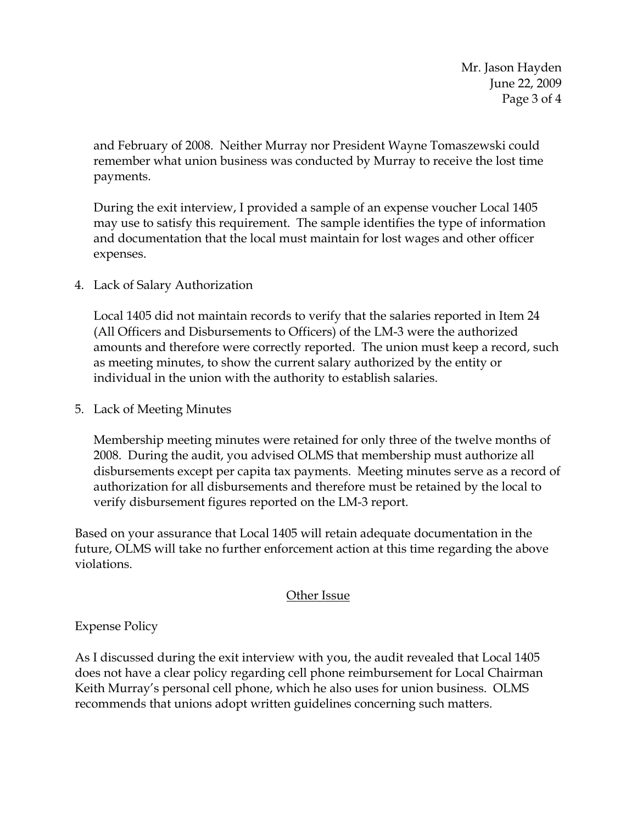Mr. Jason Hayden June 22, 2009 Page 3 of 4

and February of 2008. Neither Murray nor President Wayne Tomaszewski could remember what union business was conducted by Murray to receive the lost time payments.

During the exit interview, I provided a sample of an expense voucher Local 1405 may use to satisfy this requirement. The sample identifies the type of information and documentation that the local must maintain for lost wages and other officer expenses.

4. Lack of Salary Authorization

Local 1405 did not maintain records to verify that the salaries reported in Item 24 (All Officers and Disbursements to Officers) of the LM-3 were the authorized amounts and therefore were correctly reported. The union must keep a record, such as meeting minutes, to show the current salary authorized by the entity or individual in the union with the authority to establish salaries.

5. Lack of Meeting Minutes

Membership meeting minutes were retained for only three of the twelve months of 2008. During the audit, you advised OLMS that membership must authorize all disbursements except per capita tax payments. Meeting minutes serve as a record of authorization for all disbursements and therefore must be retained by the local to verify disbursement figures reported on the LM-3 report.

Based on your assurance that Local 1405 will retain adequate documentation in the future, OLMS will take no further enforcement action at this time regarding the above violations.

## Other Issue

Expense Policy

As I discussed during the exit interview with you, the audit revealed that Local 1405 does not have a clear policy regarding cell phone reimbursement for Local Chairman Keith Murray's personal cell phone, which he also uses for union business. OLMS recommends that unions adopt written guidelines concerning such matters.